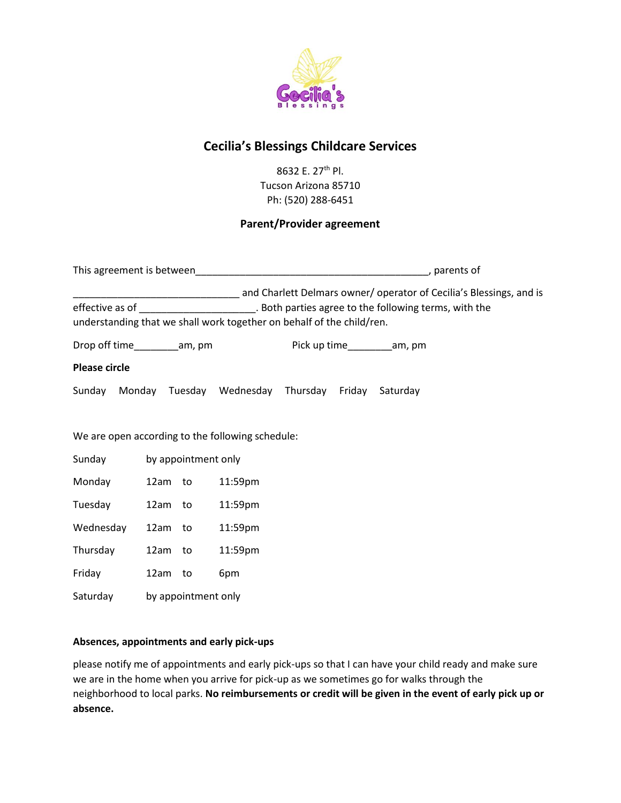

# **Cecilia's Blessings Childcare Services**

8632 E. 27th Pl. Tucson Arizona 85710 Ph: (520) 288-6451

# **Parent/Provider agreement**

|                                                                                               |                     |                     |                                                                       |                               |  | and Charlett Delmars owner/ operator of Cecilia's Blessings, and is |
|-----------------------------------------------------------------------------------------------|---------------------|---------------------|-----------------------------------------------------------------------|-------------------------------|--|---------------------------------------------------------------------|
| effective as of ________________________. Both parties agree to the following terms, with the |                     |                     |                                                                       |                               |  |                                                                     |
|                                                                                               |                     |                     | understanding that we shall work together on behalf of the child/ren. |                               |  |                                                                     |
| Drop off time___________am, pm                                                                |                     |                     |                                                                       | Pick up time___________am, pm |  |                                                                     |
| <b>Please circle</b>                                                                          |                     |                     |                                                                       |                               |  |                                                                     |
|                                                                                               |                     |                     | Sunday Monday Tuesday Wednesday Thursday Friday Saturday              |                               |  |                                                                     |
|                                                                                               |                     |                     |                                                                       |                               |  |                                                                     |
| We are open according to the following schedule:                                              |                     |                     |                                                                       |                               |  |                                                                     |
| Sunday                                                                                        | by appointment only |                     |                                                                       |                               |  |                                                                     |
| Monday                                                                                        | 12am to             |                     | 11:59pm                                                               |                               |  |                                                                     |
| Tuesday                                                                                       | 12am to             |                     | 11:59pm                                                               |                               |  |                                                                     |
| Wednesday                                                                                     | 12am to             |                     | 11:59pm                                                               |                               |  |                                                                     |
| Thursday                                                                                      | 12am to             |                     | 11:59pm                                                               |                               |  |                                                                     |
| Friday                                                                                        | 12am to             |                     | 6pm                                                                   |                               |  |                                                                     |
| Saturday                                                                                      |                     | by appointment only |                                                                       |                               |  |                                                                     |

## **Absences, appointments and early pick-ups**

please notify me of appointments and early pick-ups so that I can have your child ready and make sure we are in the home when you arrive for pick-up as we sometimes go for walks through the neighborhood to local parks. **No reimbursements or credit will be given in the event of early pick up or absence.**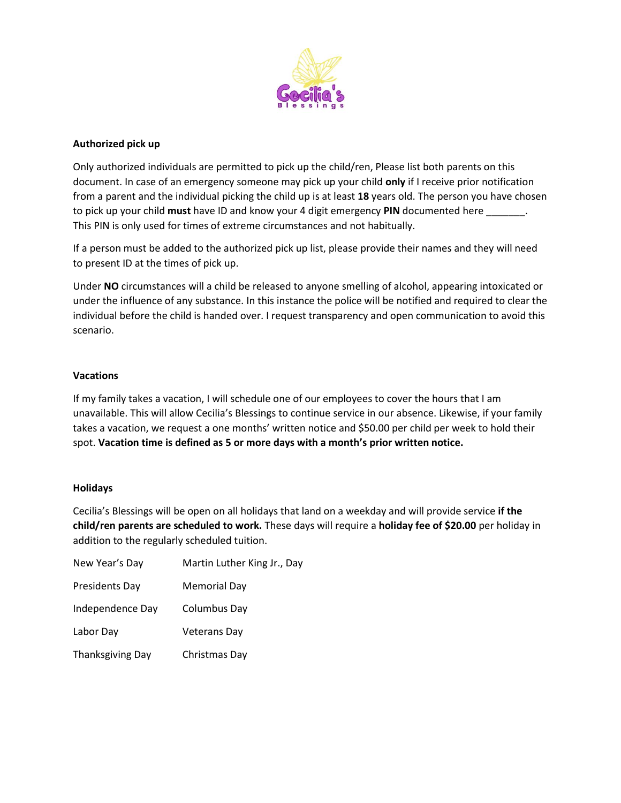

## **Authorized pick up**

Only authorized individuals are permitted to pick up the child/ren, Please list both parents on this document. In case of an emergency someone may pick up your child **only** if I receive prior notification from a parent and the individual picking the child up is at least **18** years old. The person you have chosen to pick up your child **must** have ID and know your 4 digit emergency **PIN** documented here \_\_\_\_\_\_\_. This PIN is only used for times of extreme circumstances and not habitually.

If a person must be added to the authorized pick up list, please provide their names and they will need to present ID at the times of pick up.

Under **NO** circumstances will a child be released to anyone smelling of alcohol, appearing intoxicated or under the influence of any substance. In this instance the police will be notified and required to clear the individual before the child is handed over. I request transparency and open communication to avoid this scenario.

## **Vacations**

If my family takes a vacation, I will schedule one of our employees to cover the hours that I am unavailable. This will allow Cecilia's Blessings to continue service in our absence. Likewise, if your family takes a vacation, we request a one months' written notice and \$50.00 per child per week to hold their spot. **Vacation time is defined as 5 or more days with a month's prior written notice.**

#### **Holidays**

Cecilia's Blessings will be open on all holidays that land on a weekday and will provide service **if the child/ren parents are scheduled to work.** These days will require a **holiday fee of \$20.00** per holiday in addition to the regularly scheduled tuition.

| New Year's Day          | Martin Luther King Jr., Day |
|-------------------------|-----------------------------|
| <b>Presidents Day</b>   | Memorial Day                |
| Independence Day        | Columbus Day                |
| Labor Day               | <b>Veterans Dav</b>         |
| <b>Thanksgiving Day</b> | Christmas Day               |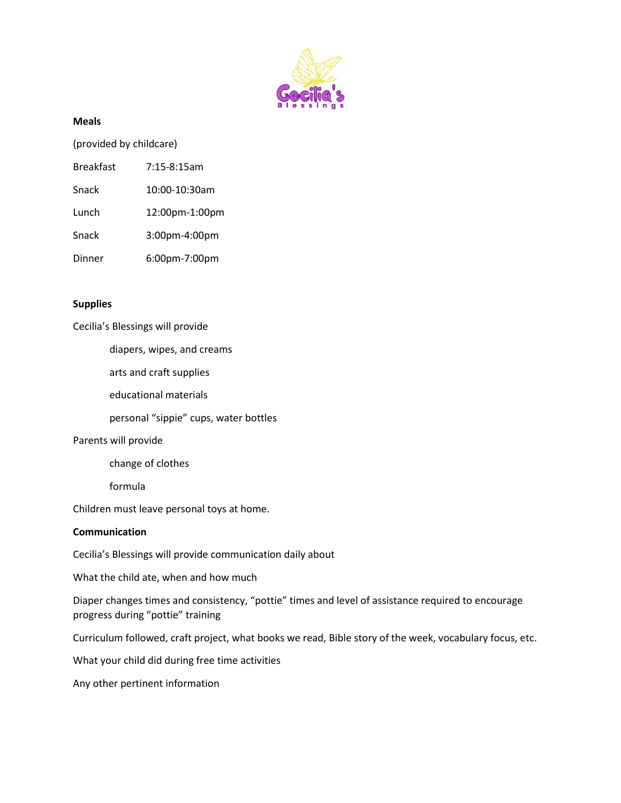

#### **Meals**

(provided by childcare)

| <b>Breakfast</b> | $7:15-8:15am$ |
|------------------|---------------|
|                  |               |

| Snack | 10:00-10:30am |
|-------|---------------|
|       |               |

Lunch 12:00pm-1:00pm

Snack 3:00pm-4:00pm

Dinner 6:00pm-7:00pm

### **Supplies**

Cecilia's Blessings will provide

diapers, wipes, and creams

arts and craft supplies

educational materials

personal "sippie" cups, water bottles

#### Parents will provide

change of clothes

formula

Children must leave personal toys at home.

#### **Communication**

Cecilia's Blessings will provide communication daily about

What the child ate, when and how much

Diaper changes times and consistency, "pottie" times and level of assistance required to encourage progress during "pottie" training

Curriculum followed, craft project, what books we read, Bible story of the week, vocabulary focus, etc.

What your child did during free time activities

Any other pertinent information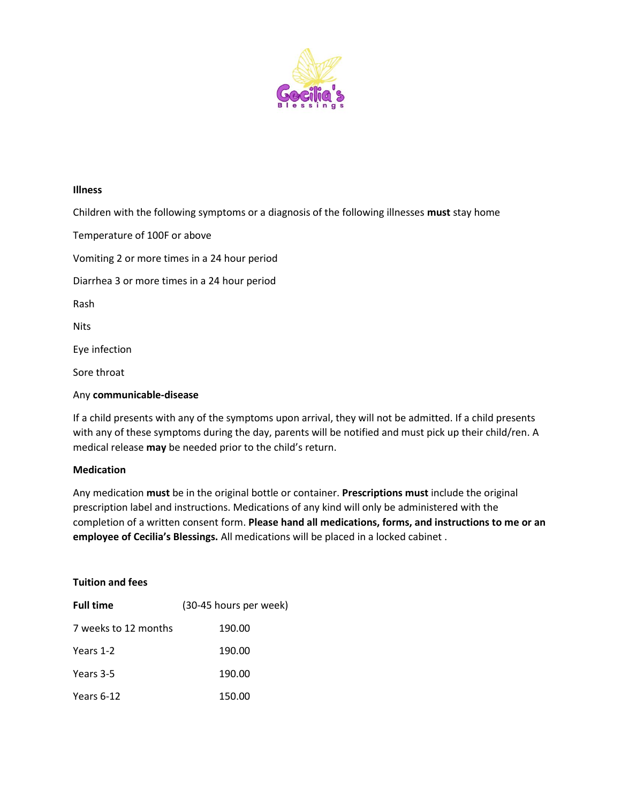

#### **Illness**

Children with the following symptoms or a diagnosis of the following illnesses **must** stay home

Temperature of 100F or above Vomiting 2 or more times in a 24 hour period Diarrhea 3 or more times in a 24 hour period Rash Nits Eye infection Sore throat Any **communicable-disease**

# If a child presents with any of the symptoms upon arrival, they will not be admitted. If a child presents with any of these symptoms during the day, parents will be notified and must pick up their child/ren. A medical release **may** be needed prior to the child's return.

#### **Medication**

Any medication **must** be in the original bottle or container. **Prescriptions must** include the original prescription label and instructions. Medications of any kind will only be administered with the completion of a written consent form. **Please hand all medications, forms, and instructions to me or an employee of Cecilia's Blessings.** All medications will be placed in a locked cabinet .

**Tuition and fees Full time** (30-45 hours per week) 7 weeks to 12 months 190.00 Years 1-2 190.00 Years 3-5 190.00 Years 6-12 150.00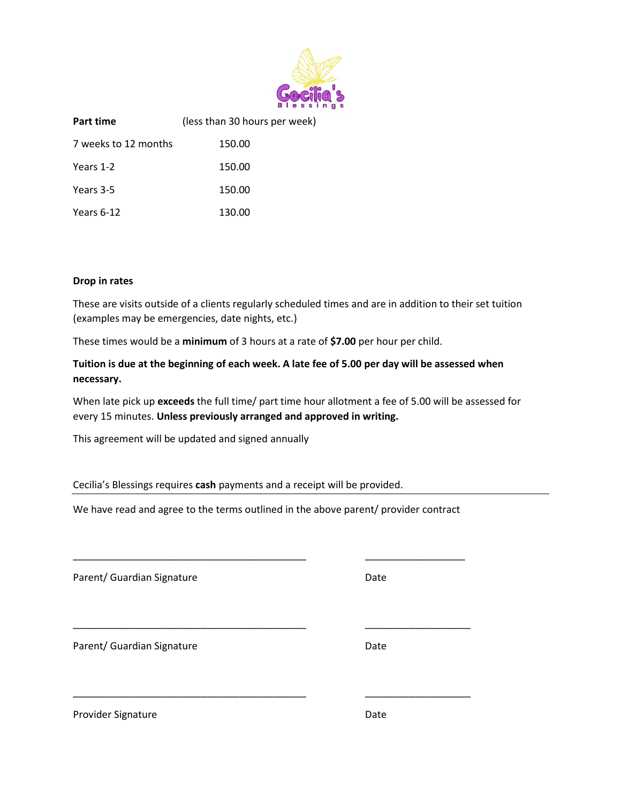

| Part time            | (less than 30 hours per week) |
|----------------------|-------------------------------|
| 7 weeks to 12 months | 150.00                        |
| Years 1-2            | 150.00                        |
| Years 3-5            | 150.00                        |
| Years 6-12           | 130.00                        |

#### **Drop in rates**

These are visits outside of a clients regularly scheduled times and are in addition to their set tuition (examples may be emergencies, date nights, etc.)

These times would be a **minimum** of 3 hours at a rate of **\$7.00** per hour per child.

# **Tuition is due at the beginning of each week. A late fee of 5.00 per day will be assessed when necessary.**

When late pick up **exceeds** the full time/ part time hour allotment a fee of 5.00 will be assessed for every 15 minutes. **Unless previously arranged and approved in writing.**

This agreement will be updated and signed annually

Cecilia's Blessings requires **cash** payments and a receipt will be provided.

We have read and agree to the terms outlined in the above parent/ provider contract

\_\_\_\_\_\_\_\_\_\_\_\_\_\_\_\_\_\_\_\_\_\_\_\_\_\_\_\_\_\_\_\_\_\_\_\_\_\_\_\_\_\_ \_\_\_\_\_\_\_\_\_\_\_\_\_\_\_\_\_\_

\_\_\_\_\_\_\_\_\_\_\_\_\_\_\_\_\_\_\_\_\_\_\_\_\_\_\_\_\_\_\_\_\_\_\_\_\_\_\_\_\_\_ \_\_\_\_\_\_\_\_\_\_\_\_\_\_\_\_\_\_\_

\_\_\_\_\_\_\_\_\_\_\_\_\_\_\_\_\_\_\_\_\_\_\_\_\_\_\_\_\_\_\_\_\_\_\_\_\_\_\_\_\_\_ \_\_\_\_\_\_\_\_\_\_\_\_\_\_\_\_\_\_\_

Parent/ Guardian Signature Date

Parent/ Guardian Signature Date

Provider Signature **Date**